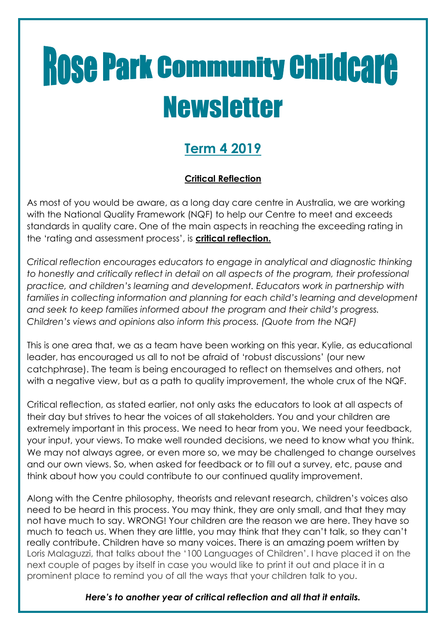# **Rose Park Community Childcare Newsletter**

### **Term 4 2019**

#### **Critical Reflection**

As most of you would be aware, as a long day care centre in Australia, we are working with the National Quality Framework (NQF) to help our Centre to meet and exceeds standards in quality care. One of the main aspects in reaching the exceeding rating in the 'rating and assessment process', is **critical reflection.** 

*Critical reflection encourages educators to engage in analytical and diagnostic thinking to honestly and critically reflect in detail on all aspects of the program, their professional practice, and children's learning and development. Educators work in partnership with*  families in collecting information and planning for each child's learning and development *and seek to keep families informed about the program and their child's progress. Children's views and opinions also inform this process. (Quote from the NQF)*

This is one area that, we as a team have been working on this year. Kylie, as educational leader, has encouraged us all to not be afraid of 'robust discussions' (our new catchphrase). The team is being encouraged to reflect on themselves and others, not with a negative view, but as a path to quality improvement, the whole crux of the NQF.

Critical reflection, as stated earlier, not only asks the educators to look at all aspects of their day but strives to hear the voices of all stakeholders. You and your children are extremely important in this process. We need to hear from you. We need your feedback, your input, your views. To make well rounded decisions, we need to know what you think. We may not always agree, or even more so, we may be challenged to change ourselves and our own views. So, when asked for feedback or to fill out a survey, etc, pause and think about how you could contribute to our continued quality improvement.

Along with the Centre philosophy, theorists and relevant research, children's voices also need to be heard in this process. You may think, they are only small, and that they may not have much to say. WRONG! Your children are the reason we are here. They have so much to teach us. When they are little, you may think that they can't talk, so they can't really contribute. Children have so many voices. There is an amazing poem written by Loris Malaguzzi, that talks about the '100 Languages of Children'. I have placed it on the next couple of pages by itself in case you would like to print it out and place it in a prominent place to remind you of all the ways that your children talk to you.

*Here's to another year of critical reflection and all that it entails.*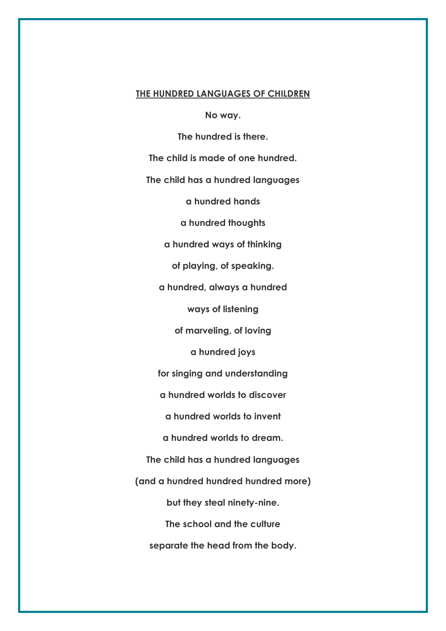#### **THE HUNDRED LANGUAGES OF CHILDREN**

**No way.**

**The hundred is there.**

**The child is made of one hundred.**

**The child has a hundred languages**

**a hundred hands**

**a hundred thoughts**

**a hundred ways of thinking**

**of playing, of speaking.**

**a hundred, always a hundred**

**ways of listening**

**of marveling, of loving**

**a hundred joys**

**for singing and understanding**

**a hundred worlds to discover**

**a hundred worlds to invent**

**a hundred worlds to dream.**

**The child has a hundred languages**

**(and a hundred hundred hundred more)**

**but they steal ninety-nine.**

**The school and the culture**

**separate the head from the body.**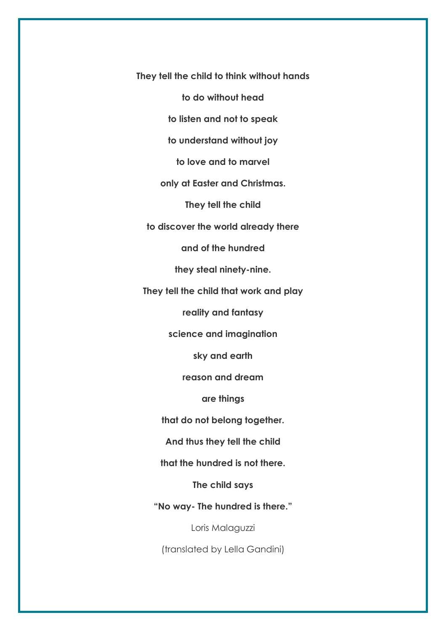**They tell the child to think without hands**

**to do without head**

**to listen and not to speak**

**to understand without joy**

**to love and to marvel**

**only at Easter and Christmas.**

**They tell the child**

**to discover the world already there**

**and of the hundred**

**they steal ninety-nine.**

**They tell the child that work and play**

**reality and fantasy**

**science and imagination**

**sky and earth**

**reason and dream**

**are things**

**that do not belong together.**

**And thus they tell the child**

**that the hundred is not there.**

**The child says**

**"No way- The hundred is there."**

Loris Malaguzzi

(translated by Lella Gandini)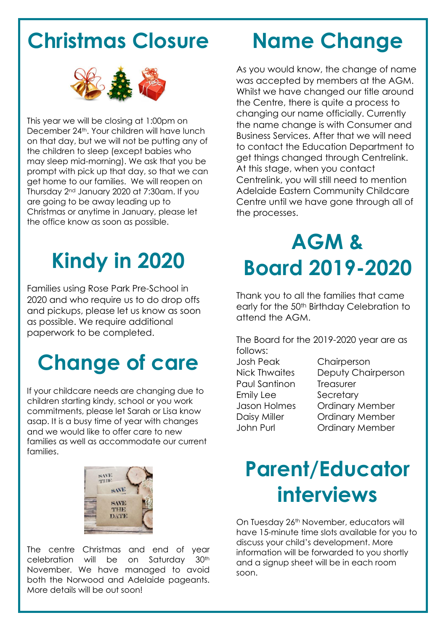### **Christmas Closure**



This year we will be closing at 1:00pm on December 24<sup>th</sup>. Your children will have lunch on that day, but we will not be putting any of the children to sleep (except babies who may sleep mid-morning). We ask that you be prompt with pick up that day, so that we can get home to our families. We will reopen on Thursday 2nd January 2020 at 7:30am. If you are going to be away leading up to Christmas or anytime in January, please let the office know as soon as possible.

## **Kindy in 2020**

Families using Rose Park Pre-School in 2020 and who require us to do drop offs and pickups, please let us know as soon as possible. We require additional paperwork to be completed.

### **Change of care**

If your childcare needs are changing due to children starting kindy, school or you work commitments, please let Sarah or Lisa know asap. It is a busy time of year with changes and we would like to offer care to new families as well as accommodate our current families.



The centre Christmas and end of year celebration will be on Saturday 30th November. We have managed to avoid both the Norwood and Adelaide pageants. More details will be out soon!

### **Name Change**

As you would know, the change of name was accepted by members at the AGM. Whilst we have changed our title around the Centre, there is quite a process to changing our name officially. Currently the name change is with Consumer and Business Services. After that we will need to contact the Education Department to get things changed through Centrelink. At this stage, when you contact Centrelink, you will still need to mention Adelaide Eastern Community Childcare Centre until we have gone through all of the processes.

## **AGM & Board 2019-2020**

Thank you to all the families that came early for the 50<sup>th</sup> Birthday Celebration to attend the AGM.

The Board for the 2019-2020 year are as follows:

- Josh Peak Chairperson Paul Santinon Treasurer Emily Lee Secretary
- Nick Thwaites Deputy Chairperson Jason Holmes Ordinary Member Daisy Miller **Ordinary Member** John Purl Ordinary Member

### **Parent/Educator interviews**

On Tuesday 26<sup>th</sup> November, educators will have 15-minute time slots available for you to discuss your child's development. More information will be forwarded to you shortly and a signup sheet will be in each room soon.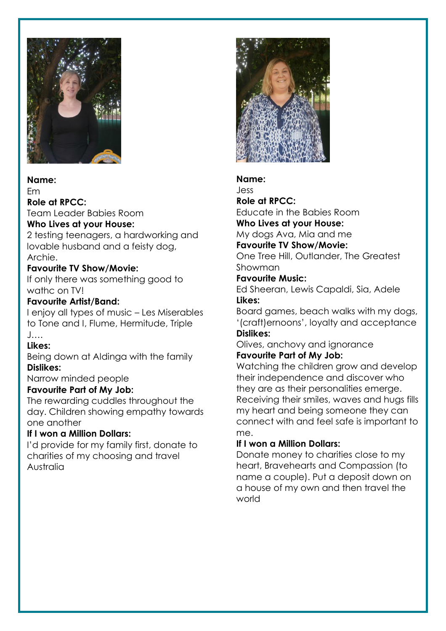

#### **Name:**

Em

**Role at RPCC:**

Team Leader Babies Room

#### **Who Lives at your House:**

2 testing teenagers, a hardworking and lovable husband and a feisty dog, Archie.

#### **Favourite TV Show/Movie:**

If only there was something good to wathc on TV!

#### **Favourite Artist/Band:**

I enjoy all types of music – Les Miserables to Tone and I, Flume, Hermitude, Triple J….

#### **Likes:**

Being down at Aldinga with the family **Dislikes:**

Narrow minded people

#### **Favourite Part of My Job:**

The rewarding cuddles throughout the day. Children showing empathy towards one another

#### **If I won a Million Dollars:**

I'd provide for my family first, donate to charities of my choosing and travel Australia



#### **Name:**

Jess

**Role at RPCC:** Educate in the Babies Room **Who Lives at your House:**

#### My dogs Ava, Mia and me

#### **Favourite TV Show/Movie:**

One Tree Hill, Outlander, The Greatest Showman

#### **Favourite Music:**

Ed Sheeran, Lewis Capaldi, Sia, Adele **Likes:**

Board games, beach walks with my dogs, '(craft)ernoons', loyalty and acceptance **Dislikes:**

Olives, anchovy and ignorance **Favourite Part of My Job:**

Watching the children grow and develop their independence and discover who they are as their personalities emerge. Receiving their smiles, waves and hugs fills my heart and being someone they can connect with and feel safe is important to me.

#### **If I won a Million Dollars:**

Donate money to charities close to my heart, Bravehearts and Compassion (to name a couple). Put a deposit down on a house of my own and then travel the world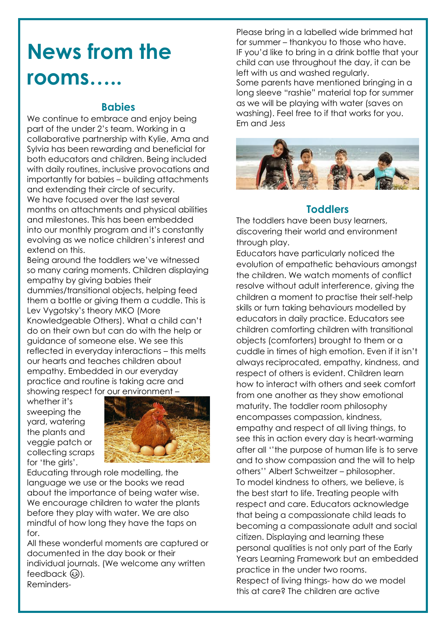### **News from the rooms…..**

#### **Babies**

We continue to embrace and enjoy being part of the under 2's team. Working in a collaborative partnership with Kylie, Ama and Sylvia has been rewarding and beneficial for both educators and children. Being included with daily routines, inclusive provocations and importantly for babies – building attachments and extending their circle of security. We have focused over the last several months on attachments and physical abilities and milestones. This has been embedded into our monthly program and it's constantly evolving as we notice children's interest and extend on this.

Being around the toddlers we've witnessed so many caring moments. Children displaying empathy by giving babies their dummies/transitional objects, helping feed them a bottle or giving them a cuddle. This is Lev Vygotsky's theory MKO (More Knowledgeable Others). What a child can't do on their own but can do with the help or guidance of someone else. We see this reflected in everyday interactions – this melts our hearts and teaches children about empathy. Embedded in our everyday practice and routine is taking acre and showing respect for our environment –

whether it's sweeping the yard, watering the plants and veggie patch or collecting scraps for 'the girls'.



Educating through role modelling, the language we use or the books we read about the importance of being water wise. We encourage children to water the plants before they play with water. We are also mindful of how long they have the taps on for.

All these wonderful moments are captured or documented in the day book or their individual journals. (We welcome any written feedback  $\circled{a}$ ). Reminders-

Please bring in a labelled wide brimmed hat for summer – thankyou to those who have. IF you'd like to bring in a drink bottle that your child can use throughout the day, it can be left with us and washed regularly. Some parents have mentioned bringing in a long sleeve "rashie" material top for summer as we will be playing with water (saves on washing). Feel free to if that works for you. Em and Jess



#### **Toddlers**

The toddlers have been busy learners, discovering their world and environment through play.

Educators have particularly noticed the evolution of empathetic behaviours amongst the children. We watch moments of conflict resolve without adult interference, giving the children a moment to practise their self-help skills or turn taking behaviours modelled by educators in daily practice. Educators see children comforting children with transitional objects (comforters) brought to them or a cuddle in times of high emotion. Even if it isn't always reciprocated, empathy, kindness, and respect of others is evident. Children learn how to interact with others and seek comfort from one another as they show emotional maturity. The toddler room philosophy encompasses compassion, kindness, empathy and respect of all living things, to see this in action every day is heart-warming after all ''the purpose of human life is to serve and to show compassion and the will to help others'' Albert Schweitzer – philosopher. To model kindness to others, we believe, is the best start to life. Treating people with respect and care. Educators acknowledge that being a compassionate child leads to becoming a compassionate adult and social citizen. Displaying and learning these personal qualities is not only part of the Early Years Learning Framework but an embedded practice in the under two rooms. Respect of living things- how do we model this at care? The children are active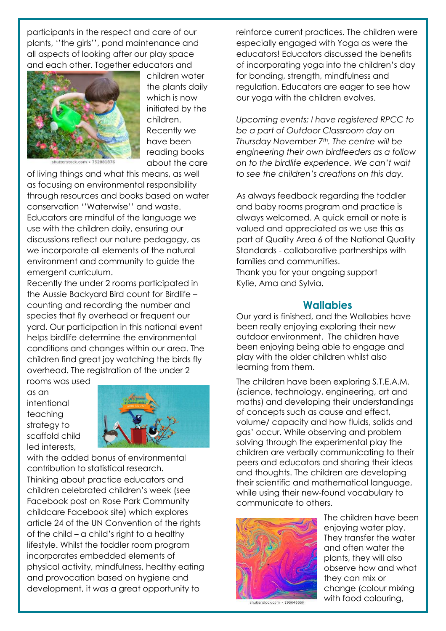participants in the respect and care of our plants, ''the girls'', pond maintenance and all aspects of looking after our play space and each other. Together educators and



children water the plants daily which is now initiated by the children. Recently we have been reading books about the care

of living things and what this means, as well as focusing on environmental responsibility through resources and books based on water conservation ''Waterwise'' and waste. Educators are mindful of the language we use with the children daily, ensuring our discussions reflect our nature pedagogy, as we incorporate all elements of the natural environment and community to guide the emergent curriculum.

Recently the under 2 rooms participated in the Aussie Backyard Bird count for Birdlife – counting and recording the number and species that fly overhead or frequent our yard. Our participation in this national event helps birdlife determine the environmental conditions and changes within our area. The children find great joy watching the birds fly overhead. The registration of the under 2 rooms was used

as an intentional teaching strategy to scaffold child led interests,



with the added bonus of environmental contribution to statistical research. Thinking about practice educators and children celebrated children's week (see Facebook post on Rose Park Community childcare Facebook site) which explores article 24 of the UN Convention of the rights of the child – a child's right to a healthy lifestyle. Whilst the toddler room program incorporates embedded elements of physical activity, mindfulness, healthy eating and provocation based on hygiene and development, it was a great opportunity to

reinforce current practices. The children were especially engaged with Yoga as were the educators! Educators discussed the benefits of incorporating yoga into the children's day for bonding, strength, mindfulness and regulation. Educators are eager to see how our yoga with the children evolves.

*Upcoming events; I have registered RPCC to be a part of Outdoor Classroom day on Thursday November 7th. The centre will be engineering their own birdfeeders as a follow on to the birdlife experience. We can't wait to see the children's creations on this day.*

As always feedback regarding the toddler and baby rooms program and practice is always welcomed. A quick email or note is valued and appreciated as we use this as part of Quality Area 6 of the National Quality Standards - collaborative partnerships with families and communities.

Thank you for your ongoing support Kylie, Ama and Sylvia.

#### **Wallabies**

Our yard is finished, and the Wallabies have been really enjoying exploring their new outdoor environment. The children have been enjoying being able to engage and play with the older children whilst also learning from them.

The children have been exploring S.T.E.A.M. (science, technology, engineering, art and maths) and developing their understandings of concepts such as cause and effect, volume/ capacity and how fluids, solids and gas' occur. While observing and problem solving through the experimental play the children are verbally communicating to their peers and educators and sharing their ideas and thoughts. The children are developing their scientific and mathematical language, while using their new-found vocabulary to communicate to others.



The children have been enjoying water play. They transfer the water and often water the plants, they will also observe how and what they can mix or change (colour mixing with food colouring,

shutterstock.com · 196646660